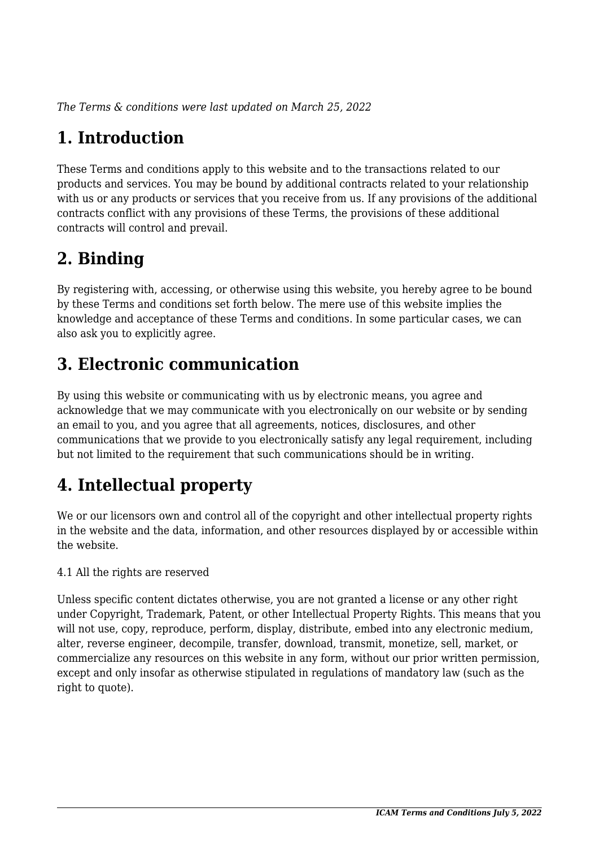*The Terms & conditions were last updated on March 25, 2022*

# **1. Introduction**

These Terms and conditions apply to this website and to the transactions related to our products and services. You may be bound by additional contracts related to your relationship with us or any products or services that you receive from us. If any provisions of the additional contracts conflict with any provisions of these Terms, the provisions of these additional contracts will control and prevail.

## **2. Binding**

By registering with, accessing, or otherwise using this website, you hereby agree to be bound by these Terms and conditions set forth below. The mere use of this website implies the knowledge and acceptance of these Terms and conditions. In some particular cases, we can also ask you to explicitly agree.

## **3. Electronic communication**

By using this website or communicating with us by electronic means, you agree and acknowledge that we may communicate with you electronically on our website or by sending an email to you, and you agree that all agreements, notices, disclosures, and other communications that we provide to you electronically satisfy any legal requirement, including but not limited to the requirement that such communications should be in writing.

# **4. Intellectual property**

We or our licensors own and control all of the copyright and other intellectual property rights in the website and the data, information, and other resources displayed by or accessible within the website.

4.1 All the rights are reserved

Unless specific content dictates otherwise, you are not granted a license or any other right under Copyright, Trademark, Patent, or other Intellectual Property Rights. This means that you will not use, copy, reproduce, perform, display, distribute, embed into any electronic medium, alter, reverse engineer, decompile, transfer, download, transmit, monetize, sell, market, or commercialize any resources on this website in any form, without our prior written permission, except and only insofar as otherwise stipulated in regulations of mandatory law (such as the right to quote).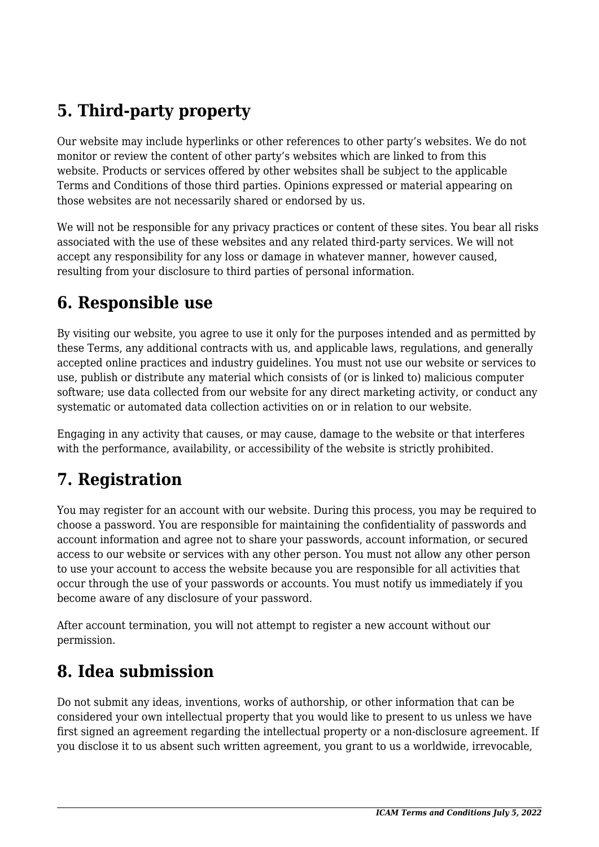## **5. Third-party property**

Our website may include hyperlinks or other references to other party's websites. We do not monitor or review the content of other party's websites which are linked to from this website. Products or services offered by other websites shall be subject to the applicable Terms and Conditions of those third parties. Opinions expressed or material appearing on those websites are not necessarily shared or endorsed by us.

We will not be responsible for any privacy practices or content of these sites. You bear all risks associated with the use of these websites and any related third-party services. We will not accept any responsibility for any loss or damage in whatever manner, however caused, resulting from your disclosure to third parties of personal information.

#### **6. Responsible use**

By visiting our website, you agree to use it only for the purposes intended and as permitted by these Terms, any additional contracts with us, and applicable laws, regulations, and generally accepted online practices and industry guidelines. You must not use our website or services to use, publish or distribute any material which consists of (or is linked to) malicious computer software; use data collected from our website for any direct marketing activity, or conduct any systematic or automated data collection activities on or in relation to our website.

Engaging in any activity that causes, or may cause, damage to the website or that interferes with the performance, availability, or accessibility of the website is strictly prohibited.

## **7. Registration**

You may register for an account with our website. During this process, you may be required to choose a password. You are responsible for maintaining the confidentiality of passwords and account information and agree not to share your passwords, account information, or secured access to our website or services with any other person. You must not allow any other person to use your account to access the website because you are responsible for all activities that occur through the use of your passwords or accounts. You must notify us immediately if you become aware of any disclosure of your password.

After account termination, you will not attempt to register a new account without our permission.

### **8. Idea submission**

Do not submit any ideas, inventions, works of authorship, or other information that can be considered your own intellectual property that you would like to present to us unless we have first signed an agreement regarding the intellectual property or a non-disclosure agreement. If you disclose it to us absent such written agreement, you grant to us a worldwide, irrevocable,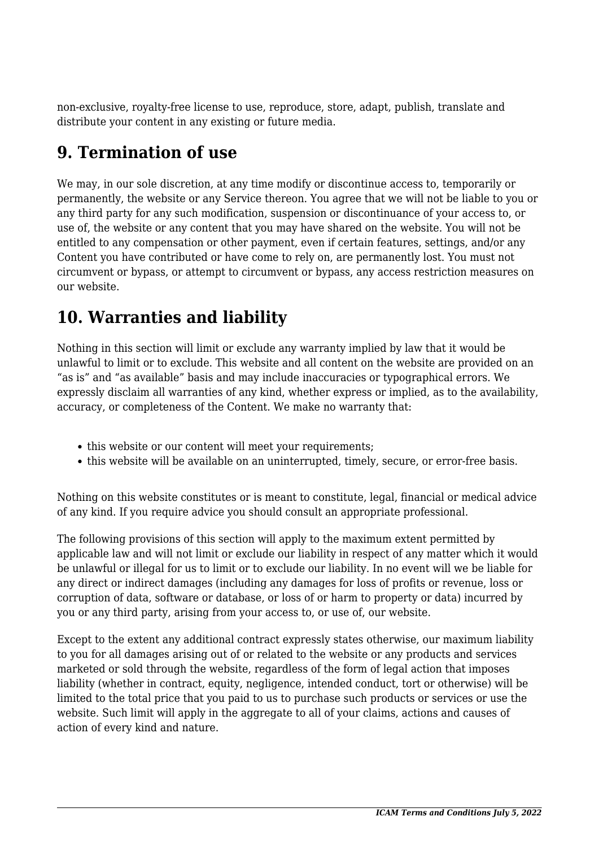non-exclusive, royalty-free license to use, reproduce, store, adapt, publish, translate and distribute your content in any existing or future media.

### **9. Termination of use**

We may, in our sole discretion, at any time modify or discontinue access to, temporarily or permanently, the website or any Service thereon. You agree that we will not be liable to you or any third party for any such modification, suspension or discontinuance of your access to, or use of, the website or any content that you may have shared on the website. You will not be entitled to any compensation or other payment, even if certain features, settings, and/or any Content you have contributed or have come to rely on, are permanently lost. You must not circumvent or bypass, or attempt to circumvent or bypass, any access restriction measures on our website.

## **10. Warranties and liability**

Nothing in this section will limit or exclude any warranty implied by law that it would be unlawful to limit or to exclude. This website and all content on the website are provided on an "as is" and "as available" basis and may include inaccuracies or typographical errors. We expressly disclaim all warranties of any kind, whether express or implied, as to the availability, accuracy, or completeness of the Content. We make no warranty that:

- this website or our content will meet your requirements;
- this website will be available on an uninterrupted, timely, secure, or error-free basis.

Nothing on this website constitutes or is meant to constitute, legal, financial or medical advice of any kind. If you require advice you should consult an appropriate professional.

The following provisions of this section will apply to the maximum extent permitted by applicable law and will not limit or exclude our liability in respect of any matter which it would be unlawful or illegal for us to limit or to exclude our liability. In no event will we be liable for any direct or indirect damages (including any damages for loss of profits or revenue, loss or corruption of data, software or database, or loss of or harm to property or data) incurred by you or any third party, arising from your access to, or use of, our website.

Except to the extent any additional contract expressly states otherwise, our maximum liability to you for all damages arising out of or related to the website or any products and services marketed or sold through the website, regardless of the form of legal action that imposes liability (whether in contract, equity, negligence, intended conduct, tort or otherwise) will be limited to the total price that you paid to us to purchase such products or services or use the website. Such limit will apply in the aggregate to all of your claims, actions and causes of action of every kind and nature.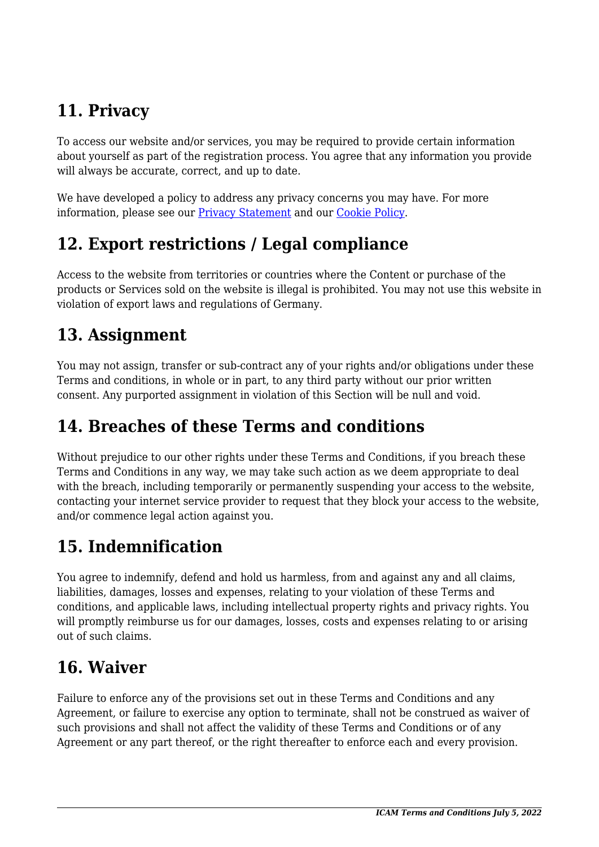# **11. Privacy**

To access our website and/or services, you may be required to provide certain information about yourself as part of the registration process. You agree that any information you provide will always be accurate, correct, and up to date.

We have developed a policy to address any privacy concerns you may have. For more information, please see our Privacy Statement and our [Cookie Policy](#page--1-0).

## **12. Export restrictions / Legal compliance**

Access to the website from territories or countries where the Content or purchase of the products or Services sold on the website is illegal is prohibited. You may not use this website in violation of export laws and regulations of Germany.

#### **13. Assignment**

You may not assign, transfer or sub-contract any of your rights and/or obligations under these Terms and conditions, in whole or in part, to any third party without our prior written consent. Any purported assignment in violation of this Section will be null and void.

#### **14. Breaches of these Terms and conditions**

Without prejudice to our other rights under these Terms and Conditions, if you breach these Terms and Conditions in any way, we may take such action as we deem appropriate to deal with the breach, including temporarily or permanently suspending your access to the website, contacting your internet service provider to request that they block your access to the website, and/or commence legal action against you.

## **15. Indemnification**

You agree to indemnify, defend and hold us harmless, from and against any and all claims, liabilities, damages, losses and expenses, relating to your violation of these Terms and conditions, and applicable laws, including intellectual property rights and privacy rights. You will promptly reimburse us for our damages, losses, costs and expenses relating to or arising out of such claims.

## **16. Waiver**

Failure to enforce any of the provisions set out in these Terms and Conditions and any Agreement, or failure to exercise any option to terminate, shall not be construed as waiver of such provisions and shall not affect the validity of these Terms and Conditions or of any Agreement or any part thereof, or the right thereafter to enforce each and every provision.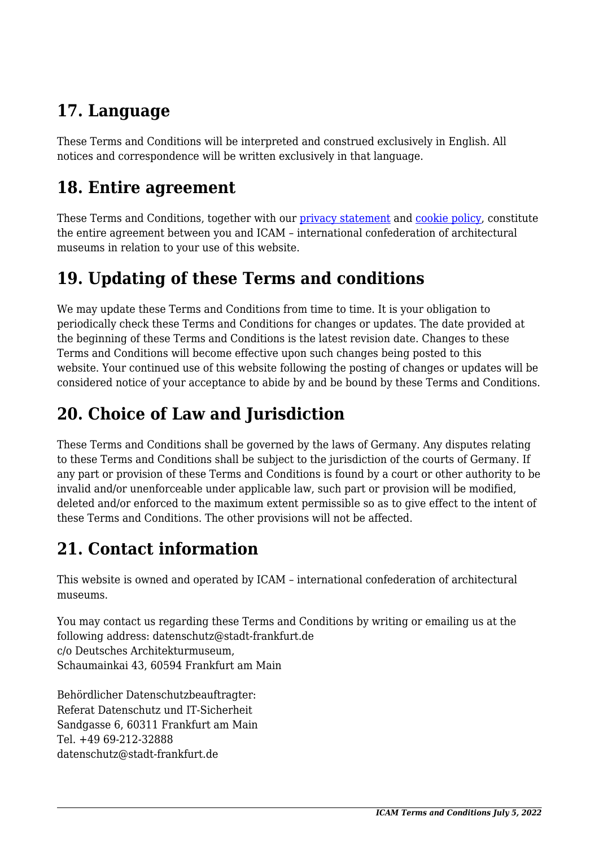# **17. Language**

These Terms and Conditions will be interpreted and construed exclusively in English. All notices and correspondence will be written exclusively in that language.

### **18. Entire agreement**

These Terms and Conditions, together with our privacy statement and [cookie policy,](#page--1-0) constitute the entire agreement between you and ICAM – international confederation of architectural museums in relation to your use of this website.

## **19. Updating of these Terms and conditions**

We may update these Terms and Conditions from time to time. It is your obligation to periodically check these Terms and Conditions for changes or updates. The date provided at the beginning of these Terms and Conditions is the latest revision date. Changes to these Terms and Conditions will become effective upon such changes being posted to this website. Your continued use of this website following the posting of changes or updates will be considered notice of your acceptance to abide by and be bound by these Terms and Conditions.

## **20. Choice of Law and Jurisdiction**

These Terms and Conditions shall be governed by the laws of Germany. Any disputes relating to these Terms and Conditions shall be subject to the jurisdiction of the courts of Germany. If any part or provision of these Terms and Conditions is found by a court or other authority to be invalid and/or unenforceable under applicable law, such part or provision will be modified, deleted and/or enforced to the maximum extent permissible so as to give effect to the intent of these Terms and Conditions. The other provisions will not be affected.

## **21. Contact information**

This website is owned and operated by ICAM – international confederation of architectural museums.

You may contact us regarding these Terms and Conditions by writing or emailing us at the following address: datenschutz@stadt-frankfurt.de c/o Deutsches Architekturmuseum, Schaumainkai 43, 60594 Frankfurt am Main

Behördlicher Datenschutzbeauftragter: Referat Datenschutz und IT-Sicherheit Sandgasse 6, 60311 Frankfurt am Main Tel. +49 69-212-32888 datenschutz@stadt-frankfurt.de